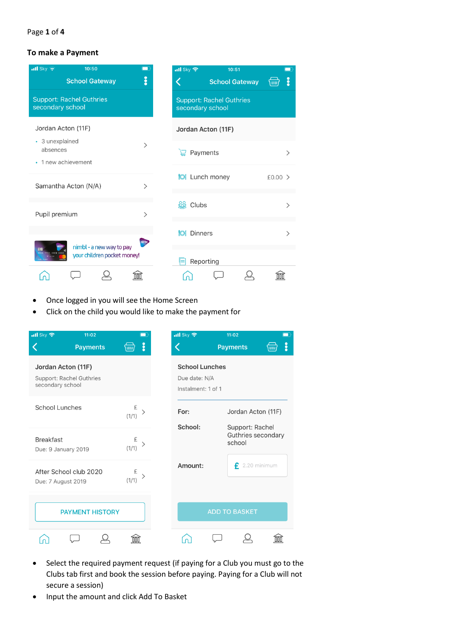#### Page **1** of **4**

## **To make a Payment**

| $\frac{1}{2}$ Sky $\approx$<br>10:50<br><b>School Gateway</b>          | ğ                            | $\cdot$ ull Sky<br>10:51<br><b>School Gateway</b><br>\um | ို        |  |  |  |
|------------------------------------------------------------------------|------------------------------|----------------------------------------------------------|-----------|--|--|--|
| <b>Support: Rachel Guthries</b><br>secondary school                    |                              | <b>Support: Rachel Guthries</b><br>secondary school      |           |  |  |  |
| Jordan Acton (11F)                                                     |                              | Jordan Acton (11F)                                       |           |  |  |  |
| • 3 unexplained<br>absences<br>• 1 new achievement                     | $\mathcal{P}$                | Payments                                                 | ⋋         |  |  |  |
| Samantha Acton (N/A)                                                   | $\left\langle \right\rangle$ | <b>M</b> Lunch money                                     | $£0.00$ > |  |  |  |
| Pupil premium                                                          | $\mathcal{P}$                | <b>SSS</b> Clubs                                         | ⋋         |  |  |  |
|                                                                        | nimb                         | <b>M</b> Dinners                                         | >         |  |  |  |
| nimbl - a new way to pay<br>0 0000 0000<br>your children pocket money! |                              | Reporting                                                |           |  |  |  |
|                                                                        |                              |                                                          |           |  |  |  |

- Once logged in you will see the Home Screen
- Click on the child you would like to make the payment for

| $\overline{\mathbf{u}}$ l Sky           | 11:02                           |                 | $\cdot$ ull Sky                                              | 11:02                              | $\blacksquare$                        |  |  |
|-----------------------------------------|---------------------------------|-----------------|--------------------------------------------------------------|------------------------------------|---------------------------------------|--|--|
|                                         | <b>Payments</b>                 | å<br>\ww        |                                                              | <b>Payments</b>                    | $\ddot{\phantom{a}}$<br><b>MILL</b>   |  |  |
| Jordan Acton (11F)<br>secondary school  | <b>Support: Rachel Guthries</b> |                 | <b>School Lunches</b><br>Due date: N/A<br>Instalment: 1 of 1 |                                    |                                       |  |  |
| <b>School Lunches</b>                   |                                 | £<br>(1/1)      | For:                                                         | Jordan Acton (11F)                 |                                       |  |  |
| <b>Breakfast</b><br>Due: 9 January 2019 |                                 | £<br>ゝ<br>(1/1) | School:                                                      | school                             | Support: Rachel<br>Guthries secondary |  |  |
| Due: 7 August 2019                      | After School club 2020          | £<br>(1/1)      |                                                              | $\epsilon$ 2.20 minimum<br>Amount: |                                       |  |  |
|                                         | <b>PAYMENT HISTORY</b>          |                 |                                                              | <b>ADD TO BASKET</b>               |                                       |  |  |
|                                         |                                 |                 |                                                              |                                    |                                       |  |  |

- Select the required payment request (if paying for a Club you must go to the Clubs tab first and book the session before paying. Paying for a Club will not secure a session)
- Input the amount and click Add To Basket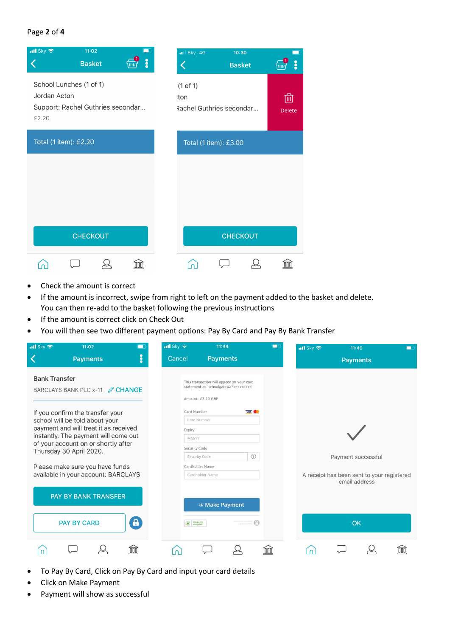## Page **2** of **4**



- Check the amount is correct
- If the amount is incorrect, swipe from right to left on the payment added to the basket and delete. You can then re-add to the basket following the previous instructions
- If the amount is correct click on Check Out
- You will then see two different payment options: Pay By Card and Pay By Bank Transfer

| $\frac{1}{2}$ Sky $\approx$<br>11:02<br>-                                                                                                       | $\cdot$ ill Sky $\approx$ | 11:44                                                                                                                                   | $\blacksquare$ | $\cdot$ ill Sky $\approx$ | 11:49              | □                                          |  |
|-------------------------------------------------------------------------------------------------------------------------------------------------|---------------------------|-----------------------------------------------------------------------------------------------------------------------------------------|----------------|---------------------------|--------------------|--------------------------------------------|--|
| ះ<br><b>Payments</b>                                                                                                                            | Cancel                    | <b>Payments</b>                                                                                                                         |                |                           | <b>Payments</b>    |                                            |  |
| <b>Bank Transfer</b><br>BARCLAYS BANK PLC x-11 <b><i>S</i></b> CHANGE<br>If you confirm the transfer your<br>school will be told about your     | Card Number               | This transaction will appear on your card<br>statement as 'schoolgatewa*xxxxxxxxx'<br>Amount: £2.20 GBP<br>VISA <b>O</b><br>Card Number |                |                           |                    |                                            |  |
| payment and will treat it as received<br>instantly. The payment will come out<br>of your account on or shortly after<br>Thursday 30 April 2020. |                           | Expiry<br>MM/YY<br>Security Code<br>$\circledR$<br>Security Code                                                                        |                |                           | Payment successful |                                            |  |
| Please make sure you have funds<br>available in your account: BARCLAYS                                                                          |                           | Cardholder Name<br>Cardholder Name                                                                                                      |                |                           | email address      | A receipt has been sent to your registered |  |
| PAY BY BANK TRANSFER                                                                                                                            |                           | <sup>®</sup> Make Payment                                                                                                               |                |                           |                    |                                            |  |
| $\mathbf{a}$<br><b>PAY BY CARD</b>                                                                                                              | 256-bit SSL               |                                                                                                                                         |                |                           | OK                 |                                            |  |
|                                                                                                                                                 |                           |                                                                                                                                         |                |                           |                    |                                            |  |

- To Pay By Card, Click on Pay By Card and input your card details
- Click on Make Payment
- Payment will show as successful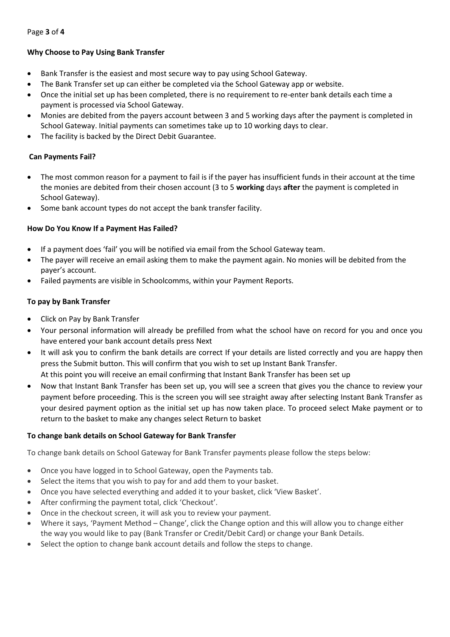Page **3** of **4**

## **Why Choose to Pay Using Bank Transfer**

- Bank Transfer is the easiest and most secure way to pay using School Gateway.
- The Bank Transfer set up can either be completed via the School Gateway app or website.
- Once the initial set up has been completed, there is no requirement to re-enter bank details each time a payment is processed via School Gateway.
- Monies are debited from the payers account between 3 and 5 working days after the payment is completed in School Gateway. Initial payments can sometimes take up to 10 working days to clear.
- The facility is backed by the Direct Debit Guarantee.

## **Can Payments Fail?**

- The most common reason for a payment to fail is if the payer has insufficient funds in their account at the time the monies are debited from their chosen account (3 to 5 **working** days **after** the payment is completed in School Gateway).
- Some bank account types do not accept the bank transfer facility.

## **How Do You Know If a Payment Has Failed?**

- If a payment does 'fail' you will be notified via email from the School Gateway team.
- The payer will receive an email asking them to make the payment again. No monies will be debited from the payer's account.
- Failed payments are visible in Schoolcomms, within your Payment Reports.

## **To pay by Bank Transfer**

- Click on Pay by Bank Transfer
- Your personal information will already be prefilled from what the school have on record for you and once you have entered your bank account details press Next
- It will ask you to confirm the bank details are correct If your details are listed correctly and you are happy then press the Submit button. This will confirm that you wish to set up Instant Bank Transfer. At this point you will receive an email confirming that Instant Bank Transfer has been set up
- Now that Instant Bank Transfer has been set up, you will see a screen that gives you the chance to review your payment before proceeding. This is the screen you will see straight away after selecting Instant Bank Transfer as your desired payment option as the initial set up has now taken place. To proceed select Make payment or to return to the basket to make any changes select Return to basket

# **To change bank details on School Gateway for Bank Transfer**

To change bank details on School Gateway for Bank Transfer payments please follow the steps below:

- Once you have logged in to School Gateway, open the Payments tab.
- Select the items that you wish to pay for and add them to your basket.
- Once you have selected everything and added it to your basket, click 'View Basket'.
- After confirming the payment total, click 'Checkout'.
- Once in the checkout screen, it will ask you to review your payment.
- Where it says, 'Payment Method Change', click the Change option and this will allow you to change either the way you would like to pay (Bank Transfer or Credit/Debit Card) or change your Bank Details.
- Select the option to change bank account details and follow the steps to change.